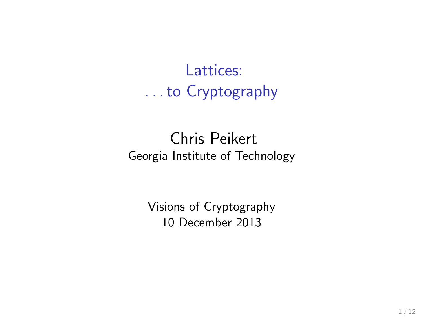Lattices: . . . to Cryptography

#### Chris Peikert Georgia Institute of Technology

Visions of Cryptography 10 December 2013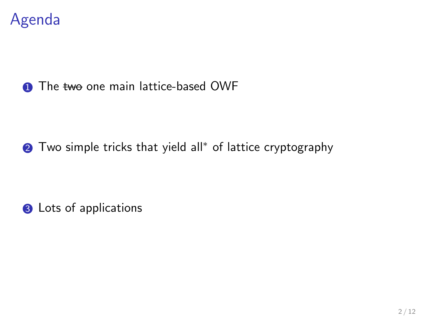

#### **1** The two one main lattice-based OWF

**2** Two simple tricks that yield all<sup>\*</sup> of lattice cryptography

**3** Lots of applications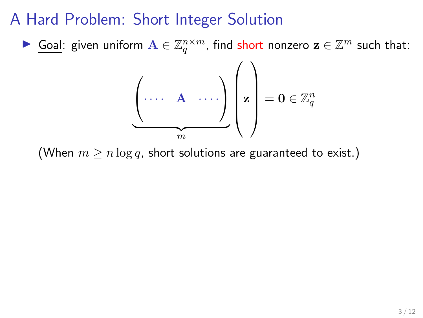▶ Goal: given uniform  $\mathbf{A} \in \mathbb{Z}_q^{n \times m}$ , find short nonzero  $\mathbf{z} \in \mathbb{Z}^m$  such that:

$$
\underbrace{\left(\cdots \quad \mathbf{A} \quad \cdots \right)}_{m}\left(\mathbf{z}\right) = \mathbf{0} \in \mathbb{Z}_q^n
$$

(When  $m \ge n \log q$ , short solutions are guaranteed to exist.)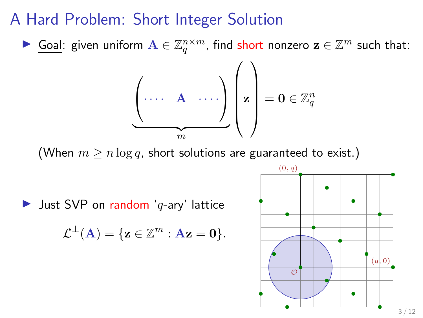▶ Goal: given uniform  $\mathbf{A} \in \mathbb{Z}_q^{n \times m}$ , find short nonzero  $\mathbf{z} \in \mathbb{Z}^m$  such that:

$$
\underbrace{\left(\cdots \quad \mathbf{A} \quad \cdots\right)}_{m}\left(\mathbf{z}\right) = \mathbf{0} \in \mathbb{Z}_q^n
$$

(When  $m \ge n \log q$ , short solutions are guaranteed to exist.)

 $\blacktriangleright$  Just SVP on random 'q-ary' lattice

$$
\mathcal{L}^{\perp}(\mathbf{A}) = \{ \mathbf{z} \in \mathbb{Z}^m : \mathbf{A}\mathbf{z} = \mathbf{0} \}.
$$

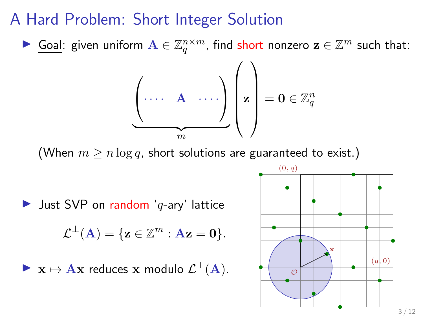▶ Goal: given uniform  $\mathbf{A} \in \mathbb{Z}_q^{n \times m}$ , find short nonzero  $\mathbf{z} \in \mathbb{Z}^m$  such that:

$$
\underbrace{\left(\cdots \quad \mathbf{A} \quad \cdots\right)}_{m}\left(\mathbf{z}\right) = \mathbf{0} \in \mathbb{Z}_q^n
$$

(When  $m \ge n \log q$ , short solutions are guaranteed to exist.)

 $\blacktriangleright$  Just SVP on random 'q-ary' lattice

$$
\mathcal{L}^{\perp}(\mathbf{A}) = \{ \mathbf{z} \in \mathbb{Z}^m : \mathbf{A}\mathbf{z} = \mathbf{0} \}.
$$

 $\triangleright$   $\mathbf{x} \mapsto \mathbf{A}\mathbf{x}$  reduces  $\mathbf{x}$  modulo  $\mathcal{L}^{\perp}(\mathbf{A})$ .

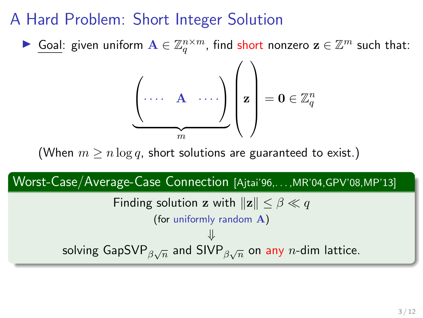▶ Goal: given uniform  $\mathbf{A} \in \mathbb{Z}_q^{n \times m}$ , find short nonzero  $\mathbf{z} \in \mathbb{Z}^m$  such that:

$$
\underbrace{\left(\cdots \quad \mathbf{A} \quad \cdots \right)}_{m} \left(\mathbf{z}\right) = \mathbf{0} \in \mathbb{Z}_q^n
$$

(When  $m > n \log q$ , short solutions are guaranteed to exist.)

#### Worst-Case/Average-Case Connection [Ajtai'96,. . . ,MR'04,GPV'08,MP'13] Finding solution z with  $\Vert \mathbf{z} \Vert < \beta \ll q$ (for uniformly random A) ⇓ solving GapSVP $_{\beta\sqrt{n}}$  and SIVP $_{\beta\sqrt{n}}$  on any  $n$ -dim lattice.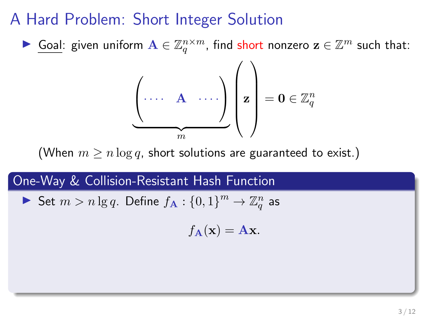▶ Goal: given uniform  $\mathbf{A} \in \mathbb{Z}_q^{n \times m}$ , find short nonzero  $\mathbf{z} \in \mathbb{Z}^m$  such that:

$$
\underbrace{\left(\cdots \quad \mathbf{A} \quad \cdots \right)}_{m} \left(\mathbf{z}\right) = \mathbf{0} \in \mathbb{Z}_q^n
$$

(When  $m > n \log q$ , short solutions are guaranteed to exist.)

#### One-Way & Collision-Resistant Hash Function

Set  $m > n \lg q$ . Define  $f_A: \{0,1\}^m \to \mathbb{Z}_q^n$  as

$$
f_{\mathbf{A}}(\mathbf{x}) = \mathbf{A}\mathbf{x}.
$$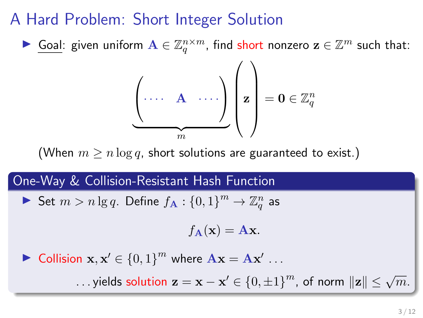▶ Goal: given uniform  $\mathbf{A} \in \mathbb{Z}_q^{n \times m}$ , find short nonzero  $\mathbf{z} \in \mathbb{Z}^m$  such that:

$$
\underbrace{\left(\cdots \quad \mathbf{A} \quad \cdots \right)}_{m} \left(\mathbf{z}\right) = \mathbf{0} \in \mathbb{Z}_q^n
$$

(When  $m > n \log q$ , short solutions are guaranteed to exist.)

#### One-Way & Collision-Resistant Hash Function

Set  $m > n \lg q$ . Define  $f_A: \{0,1\}^m \to \mathbb{Z}_q^n$  as

$$
f_{\mathbf{A}}(\mathbf{x}) = \mathbf{A}\mathbf{x}.
$$

▶ Collision  $\mathbf{x}, \mathbf{x}' \in \{0, 1\}^m$  where  $\mathbf{A}\mathbf{x} = \mathbf{A}\mathbf{x}'$  ...

...yields solution  $\mathbf{z} = \mathbf{x} - \mathbf{x}' \in \left\{0, \pm 1\right\}^m$ , of norm  $\|\mathbf{z}\| \leq \sqrt{m}$ .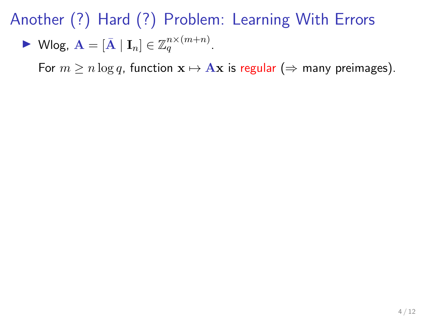$$
\blacktriangleright \text{ Wlog, A} = [\bar{\mathbf{A}} \mid \mathbf{I}_n] \in \mathbb{Z}_q^{n \times (m+n)}.
$$

For  $m \ge n \log q$ , function  $\mathbf{x} \mapsto A\mathbf{x}$  is regular ( $\Rightarrow$  many preimages).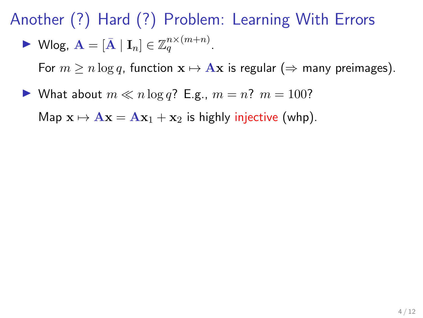$$
\blacktriangleright \text{ Wlog, A} = [\bar{A} | I_n] \in \mathbb{Z}_q^{n \times (m+n)}.
$$

For  $m \ge n \log q$ , function  $\mathbf{x} \mapsto \mathbf{A}\mathbf{x}$  is regular ( $\Rightarrow$  many preimages).

What about  $m \ll n \log q$ ? E.g.,  $m = n$ ?  $m = 100$ ?

Map  $\mathbf{x} \mapsto \mathbf{A}\mathbf{x} = \mathbf{A}\mathbf{x}_1 + \mathbf{x}_2$  is highly injective (whp).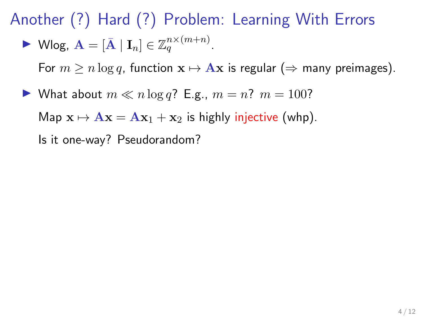$$
\blacktriangleright \text{ Wlog, A} = [\bar{A} | I_n] \in \mathbb{Z}_q^{n \times (m+n)}.
$$

For  $m \ge n \log q$ , function  $\mathbf{x} \mapsto \mathbf{A}\mathbf{x}$  is regular ( $\Rightarrow$  many preimages).

 $\blacktriangleright$  What about  $m \ll n \log q$ ? E.g.,  $m = n$ ?  $m = 100$ ?

Map  $\mathbf{x} \mapsto \mathbf{A}\mathbf{x} = \mathbf{A}\mathbf{x}_1 + \mathbf{x}_2$  is highly injective (whp).

Is it one-way? Pseudorandom?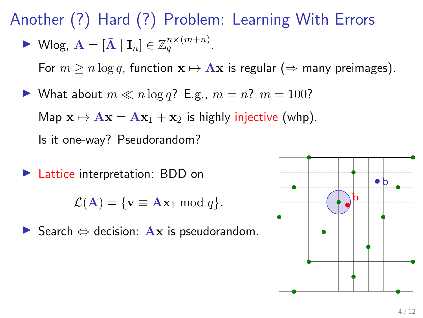$$
\blacktriangleright \text{ Wlog, A} = [\bar{A} | I_n] \in \mathbb{Z}_q^{n \times (m+n)}.
$$

For  $m > n \log q$ , function  $\mathbf{x} \mapsto \mathbf{A}\mathbf{x}$  is regular ( $\Rightarrow$  many preimages).

 $\blacktriangleright$  What about  $m \ll n \log q$ ? E.g.,  $m = n$ ?  $m = 100$ ?

Map  $x \mapsto Ax = Ax_1 + x_2$  is highly injective (whp).

Is it one-way? Pseudorandom?

▶ Lattice interpretation: BDD on

$$
\mathcal{L}(\bar{\mathbf{A}}) = \{ \mathbf{v} \equiv \bar{\mathbf{A}} \mathbf{x}_1 \bmod q \}.
$$

 $\triangleright$  Search  $\Leftrightarrow$  decision: Ax is pseudorandom.

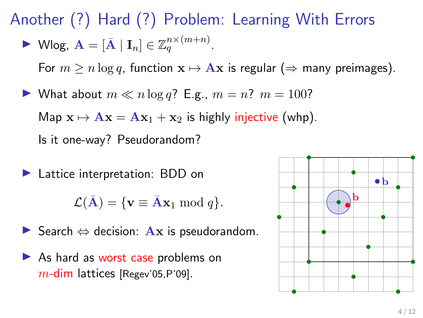$$
\blacktriangleright \text{ Wlog, A} = [\bar{A} | I_n] \in \mathbb{Z}_q^{n \times (m+n)}.
$$

For  $m > n \log q$ , function  $x \mapsto Ax$  is regular ( $\Rightarrow$  many preimages).

 $\blacktriangleright$  What about  $m \ll n \log q$ ? E.g.,  $m = n$ ?  $m = 100$ ?

Map  $x \mapsto Ax = Ax_1 + x_2$  is highly injective (whp).

Is it one-way? Pseudorandom?

▶ Lattice interpretation: BDD on

$$
\mathcal{L}(\bar{\mathbf{A}}) = \{ \mathbf{v} \equiv \bar{\mathbf{A}} \mathbf{x}_1 \bmod q \}.
$$

- $\triangleright$  Search  $\Leftrightarrow$  decision: Ax is pseudorandom.
- $\triangleright$  As hard as worst case problems on  $m$ -dim lattices [Regev'05,P'09].

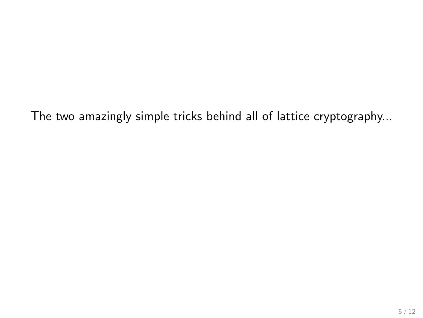The two amazingly simple tricks behind all of lattice cryptography...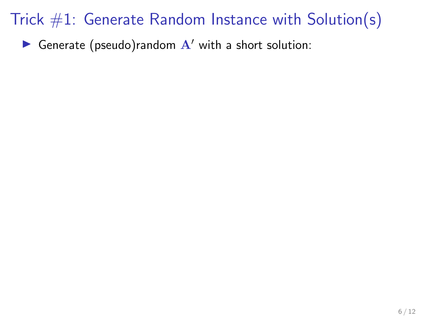Generate (pseudo)random  $A'$  with a short solution: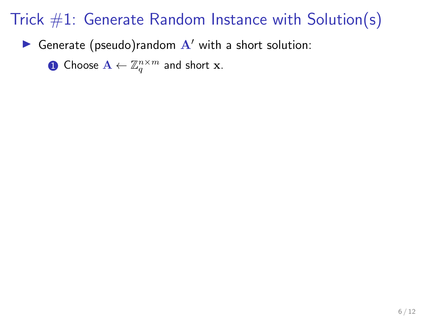Generate (pseudo)random  $A'$  with a short solution:

 $\mathbf{D}$  Choose  $\mathbf{A} \leftarrow \mathbb{Z}_q^{n \times m}$  and short  $\mathbf{x}$ .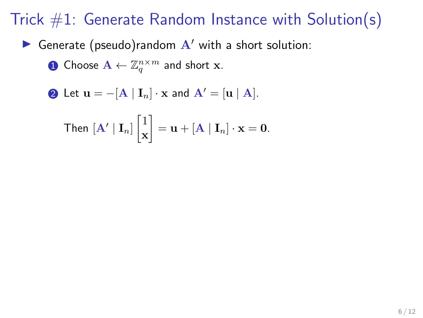Generate (pseudo)random  $A'$  with a short solution:

 $\mathbf{D}$  Choose  $\mathbf{A} \leftarrow \mathbb{Z}_q^{n \times m}$  and short  $\mathbf{x}$ .

2 Let  $\mathbf{u} = -[\mathbf{A} | \mathbf{I}_n] \cdot \mathbf{x}$  and  $\mathbf{A}' = [\mathbf{u} | \mathbf{A}].$ 

Then 
$$
[\mathbf{A'} | \mathbf{I}_n] \begin{bmatrix} 1 \\ \mathbf{x} \end{bmatrix} = \mathbf{u} + [\mathbf{A} | \mathbf{I}_n] \cdot \mathbf{x} = \mathbf{0}.
$$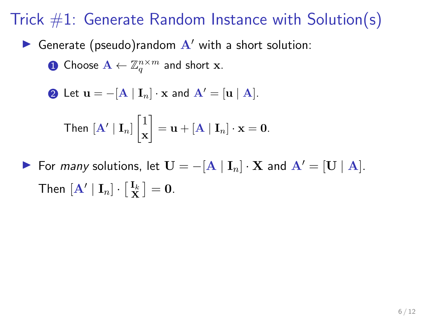Generate (pseudo)random  $A'$  with a short solution:

 $\mathbf{D}$  Choose  $\mathbf{A} \leftarrow \mathbb{Z}_q^{n \times m}$  and short  $\mathbf{x}$ .

**②** Let  $\mathbf{u} = -[\mathbf{A} | \mathbf{I}_n] \cdot \mathbf{x}$  and  $\mathbf{A}' = [\mathbf{u} | \mathbf{A}].$ 

Then 
$$
[\mathbf{A'} | \mathbf{I}_n] \begin{bmatrix} 1 \\ \mathbf{x} \end{bmatrix} = \mathbf{u} + [\mathbf{A} | \mathbf{I}_n] \cdot \mathbf{x} = \mathbf{0}.
$$

► For *many* solutions, let  $\mathbf{U} = -[\mathbf{A} | \mathbf{I}_n] \cdot \mathbf{X}$  and  $\mathbf{A}' = [\mathbf{U} | \mathbf{A}]$ . Then  $[\mathbf{A}' | \mathbf{I}_n] \cdot [\frac{\mathbf{I}_k}{\mathbf{X}}] = \mathbf{0}$ .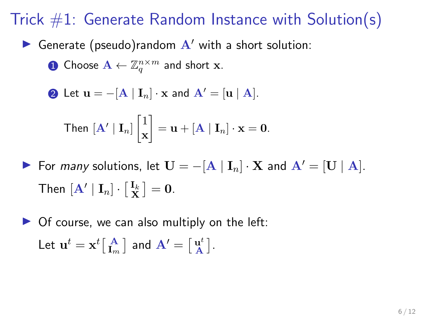Generate (pseudo)random  $A'$  with a short solution:

 $\mathbf{D}$  Choose  $\mathbf{A} \leftarrow \mathbb{Z}_q^{n \times m}$  and short  $\mathbf{x}$ .

**②** Let  $\mathbf{u} = -[\mathbf{A} | \mathbf{I}_n] \cdot \mathbf{x}$  and  $\mathbf{A}' = [\mathbf{u} | \mathbf{A}].$ 

Then 
$$
[\mathbf{A'} | \mathbf{I}_n] \begin{bmatrix} 1 \\ \mathbf{x} \end{bmatrix} = \mathbf{u} + [\mathbf{A} | \mathbf{I}_n] \cdot \mathbf{x} = \mathbf{0}.
$$

► For *many* solutions, let  $\mathbf{U} = -[\mathbf{A} | \mathbf{I}_n] \cdot \mathbf{X}$  and  $\mathbf{A}' = [\mathbf{U} | \mathbf{A}]$ . Then  $[\mathbf{A}' | \mathbf{I}_n] \cdot [\frac{\mathbf{I}_k}{\mathbf{X}}] = \mathbf{0}$ .

 $\triangleright$  Of course, we can also multiply on the left: Let  $\mathbf{u}^t = \mathbf{x}^t \big[\begin{smallmatrix} \mathbf{A} \ \mathbf{I}_m \end{smallmatrix} \big]$  and  $\mathbf{A}' = \big[\begin{smallmatrix} \mathbf{u}^t \ \mathbf{A} \end{smallmatrix} \big]$  $\mathbf{a}^t \:$   $\}.$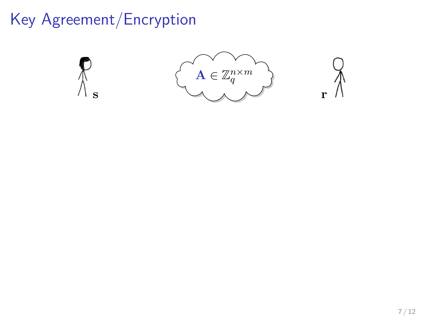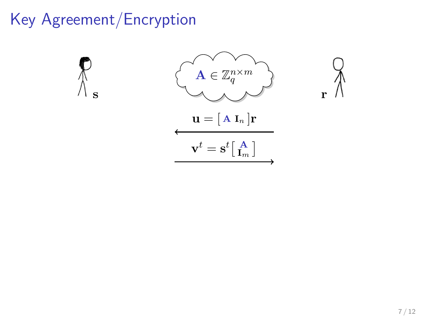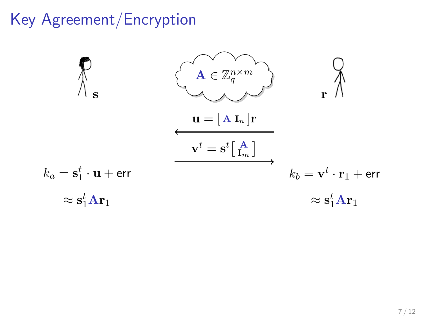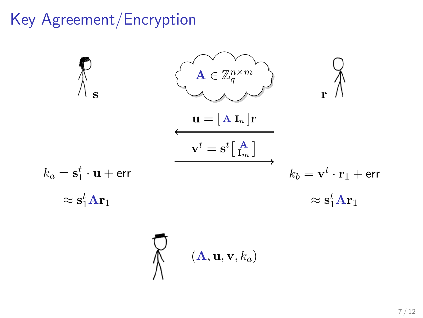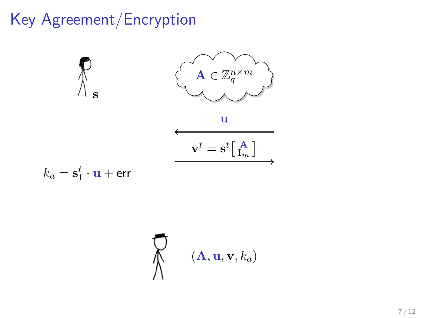

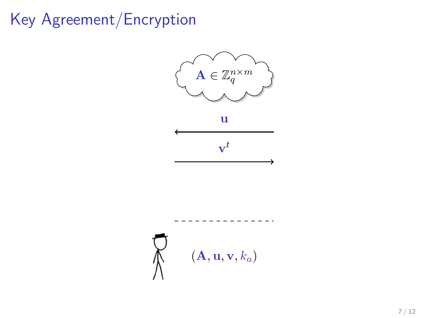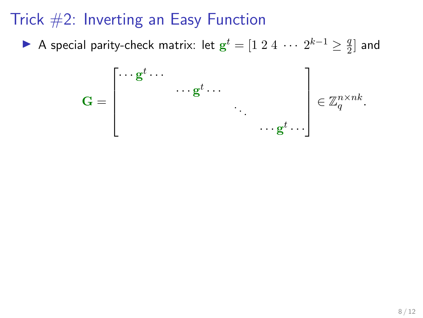A special parity-check matrix: let  $\mathbf{g}^t = [1 \ 2 \ 4 \ \cdots \ 2^{k-1} \geq \frac{q}{2}$  $\frac{q}{2}$  and

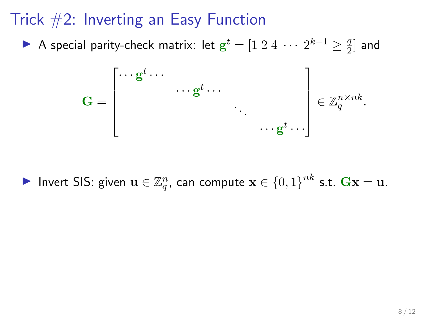A special parity-check matrix: let  $\mathbf{g}^t = [1 \ 2 \ 4 \ \cdots \ 2^{k-1} \geq \frac{q}{2}$  $\frac{q}{2}$  and



▶ Invert SIS: given  $\mathbf{u}\in \mathbb{Z}_q^n$ , can compute  $\mathbf{x}\in \{0,1\}^{nk}$  s.t.  $\mathbf{Gx}=\mathbf{u}$ .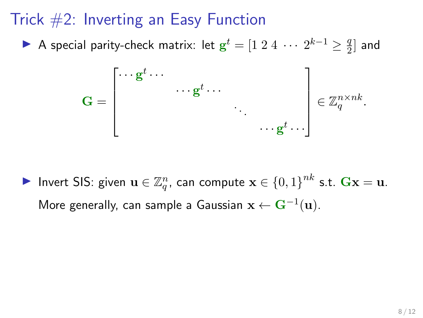A special parity-check matrix: let  $\mathbf{g}^t = [1 \ 2 \ 4 \ \cdots \ 2^{k-1} \geq \frac{q}{2}$  $\frac{q}{2}$  and



▶ Invert SIS: given  $\mathbf{u}\in \mathbb{Z}_q^n$ , can compute  $\mathbf{x}\in \{0,1\}^{nk}$  s.t.  $\mathbf{Gx}=\mathbf{u}$ . More generally, can sample a Gaussian  $\mathbf{x} \leftarrow \mathbf{G}^{-1}(\mathbf{u}).$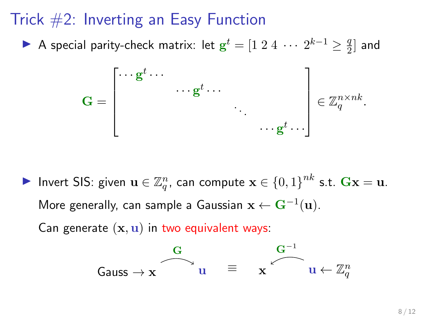A special parity-check matrix: let  $\mathbf{g}^t = [1 \ 2 \ 4 \ \cdots \ 2^{k-1} \geq \frac{q}{2}$  $\frac{q}{2}$  and

$$
\mathbf{G} = \begin{bmatrix} \cdots \mathbf{g}^t \cdots & & & \\ & \cdots \mathbf{g}^t \cdots & & \\ & & \ddots & \\ & & & \ddots \mathbf{g}^t \cdots \end{bmatrix} \in \mathbb{Z}_q^{n \times nk}.
$$

▶ Invert SIS: given  $\mathbf{u}\in \mathbb{Z}_q^n$ , can compute  $\mathbf{x}\in \{0,1\}^{nk}$  s.t.  $\mathbf{Gx}=\mathbf{u}$ . More generally, can sample a Gaussian  $\mathbf{x} \leftarrow \mathbf{G}^{-1}(\mathbf{u}).$ 

Can generate  $(x, u)$  in two equivalent ways:

$$
\begin{array}{ccc} G & & G^{-1} \\ \hline \\ \text{Gauss} \rightarrow \textbf{x} & u & \equiv & \textbf{x} \end{array}
$$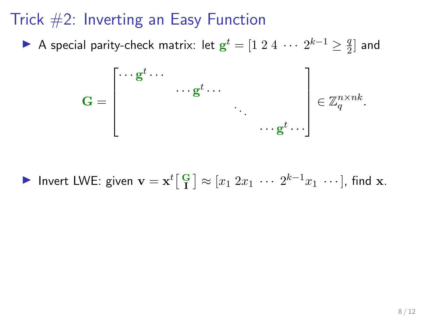A special parity-check matrix: let  $\mathbf{g}^t = [1 \ 2 \ 4 \ \cdots \ 2^{k-1} \geq \frac{q}{2}$  $\frac{q}{2}$  and



▶ Invert LWE: given  $\mathbf{v} = \mathbf{x}^t \begin{bmatrix} G \\ I \end{bmatrix} \approx [x_1 \ 2x_1 \ \cdots \ 2^{k-1} x_1 \ \cdots]$ , find  $\mathbf{x}$ .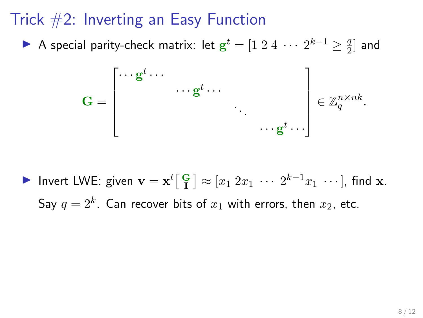A special parity-check matrix: let  $\mathbf{g}^t = [1 \ 2 \ 4 \ \cdots \ 2^{k-1} \geq \frac{q}{2}$  $\frac{q}{2}$  and



▶ Invert LWE: given  $\mathbf{v} = \mathbf{x}^t \begin{bmatrix} G \\ I \end{bmatrix} \approx [x_1 \ 2x_1 \ \cdots \ 2^{k-1} x_1 \ \cdots]$ , find  $\mathbf{x}$ . Say  $q=2^k$ . Can recover bits of  $x_1$  with errors, then  $x_2$ , etc.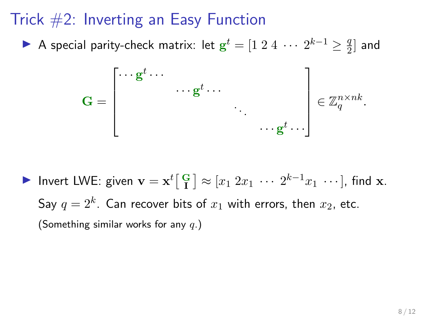A special parity-check matrix: let  $\mathbf{g}^t = [1 \ 2 \ 4 \ \cdots \ 2^{k-1} \geq \frac{q}{2}$  $\frac{q}{2}$  and



▶ Invert LWE: given  $\mathbf{v} = \mathbf{x}^t \begin{bmatrix} G \\ I \end{bmatrix} \approx [x_1 \ 2x_1 \ \cdots \ 2^{k-1} x_1 \ \cdots]$ , find  $\mathbf{x}$ . Say  $q=2^k$ . Can recover bits of  $x_1$  with errors, then  $x_2$ , etc. (Something similar works for any  $q$ .)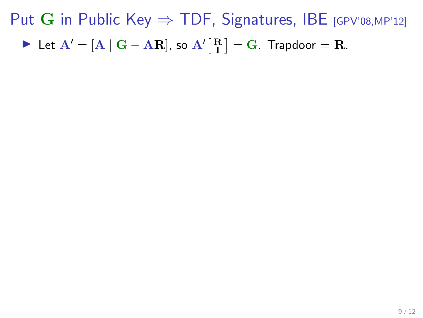► Let  $A' = [A \mid G - AR]$ , so  $A'[\begin{bmatrix} R \\ I \end{bmatrix} = G$ . Trapdoor = R.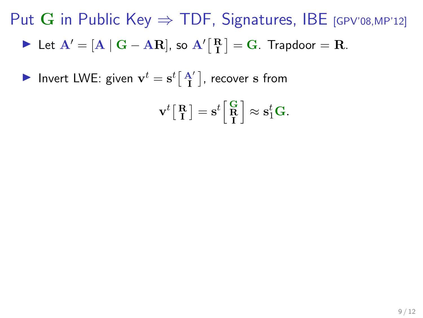- ► Let  $A' = [A \mid G AR]$ , so  $A'[\begin{bmatrix} R \\ I \end{bmatrix} = G$ . Trapdoor = R.
- Invert LWE: given  $\mathbf{v}^t = \mathbf{s}^t \Big[ \begin{smallmatrix} \mathbf{A}' \\ \mathbf{I} \end{smallmatrix} \Big]$ , recover  $\mathbf s$  from

$$
\mathbf{v}^t \big[ \begin{array}{c} \mathbf{R} \\ \mathbf{I} \end{array} \big] = \mathbf{s}^t \bigg[ \begin{array}{c} \mathbf{G} \\ \mathbf{R} \\ \mathbf{I} \end{array} \bigg] \approx \mathbf{s}_1^t \mathbf{G}.
$$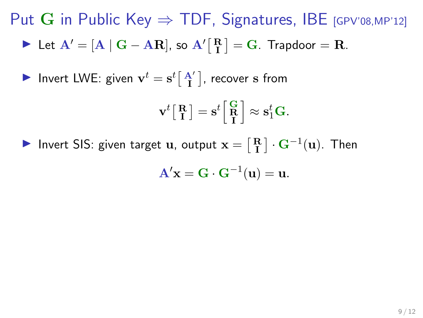► Let  $A' = [A \mid G - AR]$ , so  $A'[\begin{bmatrix} R \\ I \end{bmatrix} = G$ . Trapdoor = R.

Invert LWE: given  $\mathbf{v}^t = \mathbf{s}^t \Big[ \begin{smallmatrix} \mathbf{A}' \\ \mathbf{I} \end{smallmatrix} \Big]$ , recover  $\mathbf s$  from

$$
\mathbf{v}^t \big[ \begin{array}{c} \mathbf{R} \\ \mathbf{I} \end{array} \big] = \mathbf{s}^t \bigg[ \begin{array}{c} \mathbf{G} \\ \mathbf{R} \end{array} \bigg] \approx \mathbf{s}_1^t \mathbf{G}.
$$

▶ Invert SIS: given target **u**, output  $\mathbf{x} = \begin{bmatrix} \mathbf{R} \\ \mathbf{I} \end{bmatrix} \cdot \mathbf{G}^{-1}(\mathbf{u})$ . Then

$$
\mathbf{A}'\mathbf{x} = \mathbf{G} \cdot \mathbf{G}^{-1}(\mathbf{u}) = \mathbf{u}.
$$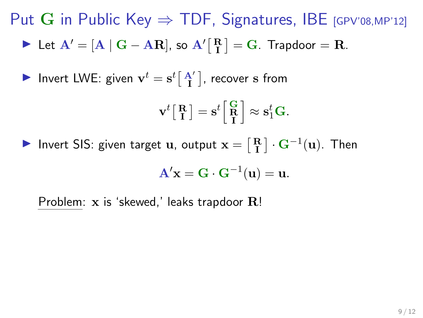► Let  $A' = [A \mid G - AR]$ , so  $A'[\begin{bmatrix} R \\ I \end{bmatrix} = G$ . Trapdoor = R.

Invert LWE: given  $\mathbf{v}^t = \mathbf{s}^t \Big[ \begin{smallmatrix} \mathbf{A}' \\ \mathbf{I} \end{smallmatrix} \Big]$ , recover  $\mathbf s$  from

$$
\mathbf{v}^t \big[ \begin{array}{c} \mathbf{R} \\ \mathbf{I} \end{array} \big] = \mathbf{s}^t \bigg[ \begin{array}{c} \mathbf{G} \\ \mathbf{R} \end{array} \bigg] \approx \mathbf{s}_1^t \mathbf{G}.
$$

▶ Invert SIS: given target **u**, output  $\mathbf{x} = \begin{bmatrix} \mathbf{R} \\ \mathbf{I} \end{bmatrix} \cdot \mathbf{G}^{-1}(\mathbf{u})$ . Then

$$
\mathbf{A}'\mathbf{x} = \mathbf{G} \cdot \mathbf{G}^{-1}(\mathbf{u}) = \mathbf{u}.
$$

Problem:  $x$  is 'skewed,' leaks trapdoor  $R!$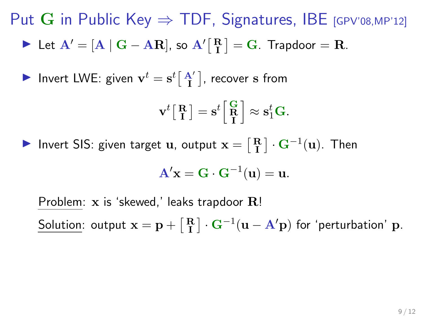► Let  $A' = [A \mid G - AR]$ , so  $A'[\begin{bmatrix} R \\ I \end{bmatrix} = G$ . Trapdoor = R.

Invert LWE: given  $\mathbf{v}^t = \mathbf{s}^t \Big[ \begin{smallmatrix} \mathbf{A}' \\ \mathbf{I} \end{smallmatrix} \Big]$ , recover  $\mathbf s$  from

$$
\mathbf{v}^t \big[ \begin{array}{c} \mathbf{R} \\ \mathbf{I} \end{array} \big] = \mathbf{s}^t \bigg[ \begin{array}{c} \mathbf{G} \\ \mathbf{R} \end{array} \bigg] \approx \mathbf{s}_1^t \mathbf{G}.
$$

▶ Invert SIS: given target **u**, output  $\mathbf{x} = \begin{bmatrix} \mathbf{R} \\ \mathbf{I} \end{bmatrix} \cdot \mathbf{G}^{-1}(\mathbf{u})$ . Then

$$
\mathbf{A}'\mathbf{x} = \mathbf{G} \cdot \mathbf{G}^{-1}(\mathbf{u}) = \mathbf{u}.
$$

Problem:  $x$  is 'skewed,' leaks trapdoor  $R!$ Solution: output  $\mathbf{x} = \mathbf{p} + \begin{bmatrix} \mathbf{R} \\ \mathbf{I} \end{bmatrix} \cdot \mathbf{G}^{-1}(\mathbf{u} - \mathbf{A}'\mathbf{p})$  for 'perturbation'  $\mathbf{p}$ .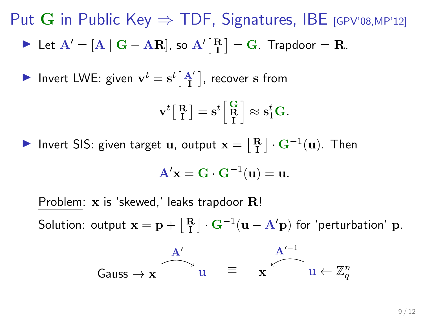► Let  $A' = [A \mid G - AR]$ , so  $A'[\begin{bmatrix} R \\ I \end{bmatrix} = G$ . Trapdoor = R.

Invert LWE: given  $\mathbf{v}^t = \mathbf{s}^t \Big[ \begin{smallmatrix} \mathbf{A}' \\ \mathbf{I} \end{smallmatrix} \Big]$ , recover  $\mathbf s$  from

$$
\mathbf{v}^t \begin{bmatrix} \mathbf{R} \\ \mathbf{I} \end{bmatrix} = \mathbf{s}^t \begin{bmatrix} \mathbf{G} \\ \mathbf{R} \\ \mathbf{I} \end{bmatrix} \approx \mathbf{s}_1^t \mathbf{G}.
$$

▶ Invert SIS: given target **u**, output  $\mathbf{x} = \begin{bmatrix} \mathbf{R} \\ \mathbf{I} \end{bmatrix} \cdot \mathbf{G}^{-1}(\mathbf{u})$ . Then

$$
\mathbf{A}'\mathbf{x} = \mathbf{G} \cdot \mathbf{G}^{-1}(\mathbf{u}) = \mathbf{u}.
$$

Problem:  $x$  is 'skewed,' leaks trapdoor  $R!$ Solution: output  $\mathbf{x} = \mathbf{p} + \begin{bmatrix} \mathbf{R} \\ \mathbf{I} \end{bmatrix} \cdot \mathbf{G}^{-1}(\mathbf{u} - \mathbf{A}'\mathbf{p})$  for 'perturbation'  $\mathbf{p}$ .

$$
\begin{array}{ccc}\n & A' \\
\hline\nGauss \rightarrow {\bf x} & u & \equiv & {\bf x} & u \leftarrow \mathbb{Z}_q^n\n\end{array}
$$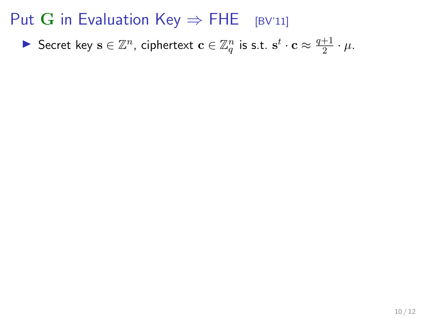▶ Secret key  $\mathbf{s} \in \mathbb{Z}^n$ , ciphertext  $\mathbf{c} \in \mathbb{Z}_q^n$  is s.t.  $\mathbf{s}^t \cdot \mathbf{c} \approx \frac{q+1}{2}$  $rac{+1}{2} \cdot \mu$ .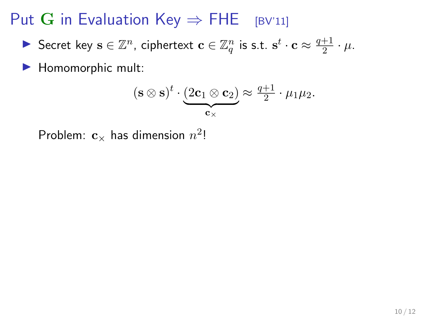▶ Secret key  $\mathbf{s} \in \mathbb{Z}^n$ , ciphertext  $\mathbf{c} \in \mathbb{Z}_q^n$  is s.t.  $\mathbf{s}^t \cdot \mathbf{c} \approx \frac{q+1}{2}$  $rac{+1}{2} \cdot \mu$ .

 $\blacktriangleright$  Homomorphic mult:

$$
(\mathbf{s} \otimes \mathbf{s})^t \cdot \underbrace{(2\mathbf{c}_1 \otimes \mathbf{c}_2)}_{\mathbf{c}_\times} \approx \frac{q+1}{2} \cdot \mu_1 \mu_2.
$$

Problem:  $\mathbf{c}_\times$  has dimension  $n^2!$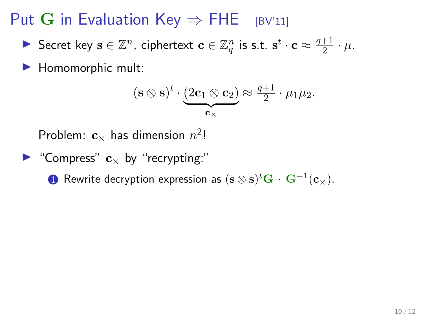▶ Secret key  $\mathbf{s} \in \mathbb{Z}^n$ , ciphertext  $\mathbf{c} \in \mathbb{Z}_q^n$  is s.t.  $\mathbf{s}^t \cdot \mathbf{c} \approx \frac{q+1}{2}$  $rac{+1}{2} \cdot \mu$ .

 $\blacktriangleright$  Homomorphic mult:

$$
(\mathbf{s} \otimes \mathbf{s})^t \cdot \underbrace{(2\mathbf{c}_1 \otimes \mathbf{c}_2)}_{\mathbf{c}_\times} \approx \frac{q+1}{2} \cdot \mu_1 \mu_2.
$$

Problem:  $\mathbf{c}_\times$  has dimension  $n^2!$ 

$$
\blacktriangleright
$$
 "Compress"  $\mathbf{c}_{\times}$  by "recrypting:"

 $\textbf{D}$  Rewrite decryption expression as  $(\mathbf{s}\otimes \mathbf{s})^t\mathbf{G} \,\cdot \, \mathbf{G}^{-1}(\mathbf{c}_{\times}).$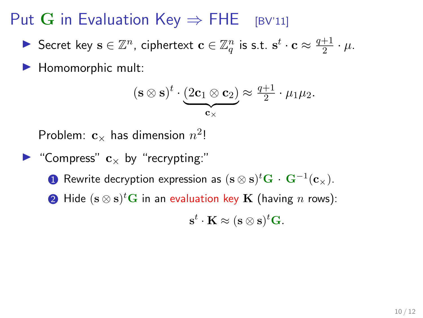▶ Secret key  $\mathbf{s} \in \mathbb{Z}^n$ , ciphertext  $\mathbf{c} \in \mathbb{Z}_q^n$  is s.t.  $\mathbf{s}^t \cdot \mathbf{c} \approx \frac{q+1}{2}$  $rac{+1}{2} \cdot \mu$ .

 $\blacktriangleright$  Homomorphic mult:

$$
(\mathbf{s} \otimes \mathbf{s})^t \cdot \underbrace{(2\mathbf{c}_1 \otimes \mathbf{c}_2)}_{\mathbf{c}_\times} \approx \frac{q+1}{2} \cdot \mu_1 \mu_2.
$$

Problem:  $\mathbf{c}_\times$  has dimension  $n^2!$ 

\n- "Compress" 
$$
\mathbf{c}_{\times}
$$
 by "recryption".
\n- Rewrite decryption expression as  $(\mathbf{s} \otimes \mathbf{s})^t \mathbf{G} \cdot \mathbf{G}^{-1}(\mathbf{c}_{\times}).$
\n- Hide  $(\mathbf{s} \otimes \mathbf{s})^t \mathbf{G}$  in an evaluation key **K** (having *n* rows):  $\mathbf{s}^t \cdot \mathbf{K} \approx (\mathbf{s} \otimes \mathbf{s})^t \mathbf{G}.$
\n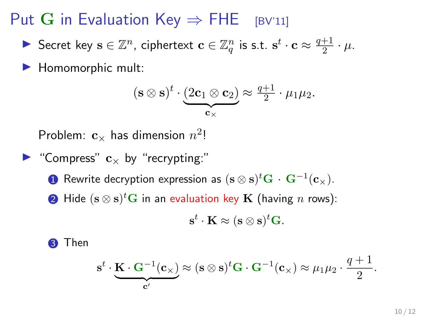▶ Secret key  $\mathbf{s} \in \mathbb{Z}^n$ , ciphertext  $\mathbf{c} \in \mathbb{Z}_q^n$  is s.t.  $\mathbf{s}^t \cdot \mathbf{c} \approx \frac{q+1}{2}$  $rac{+1}{2} \cdot \mu$ .

 $\blacktriangleright$  Homomorphic mult:

$$
(\mathbf{s} \otimes \mathbf{s})^t \cdot \underbrace{(2\mathbf{c}_1 \otimes \mathbf{c}_2)}_{\mathbf{c}_\times} \approx \frac{q+1}{2} \cdot \mu_1 \mu_2.
$$

Problem:  $\mathbf{c}_\times$  has dimension  $n^2!$ 

\n- "Compress" 
$$
\mathbf{c}_{\times}
$$
 by "recryption":"
\n- Rewrite decryption expression as  $(\mathbf{s} \otimes \mathbf{s})^t \mathbf{G} \cdot \mathbf{G}^{-1}(\mathbf{c}_{\times}).$
\n- Hide  $(\mathbf{s} \otimes \mathbf{s})^t \mathbf{G}$  in an evaluation key **K** (having *n* rows):  $\mathbf{s}^t \cdot \mathbf{K} \approx (\mathbf{s} \otimes \mathbf{s})^t \mathbf{G}.$
\n

**3** Then

$$
\mathbf{s}^t \cdot \underbrace{\mathbf{K} \cdot \mathbf{G}^{-1}(\mathbf{c}_{\times})}_{\mathbf{c}'}
$$
  $\approx (\mathbf{s} \otimes \mathbf{s})^t \mathbf{G} \cdot \mathbf{G}^{-1}(\mathbf{c}_{\times}) \approx \mu_1 \mu_2 \cdot \frac{q+1}{2}.$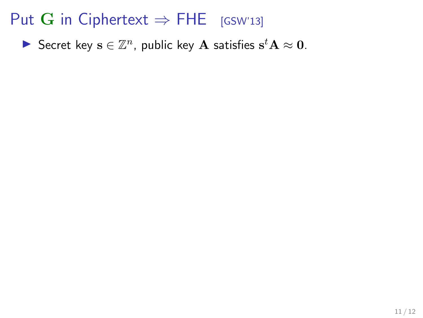Secret key  $\mathbf{s} \in \mathbb{Z}^n$ , public key  $\mathbf{A}$  satisfies  $\mathbf{s}^t \mathbf{A} \approx \mathbf{0}$ .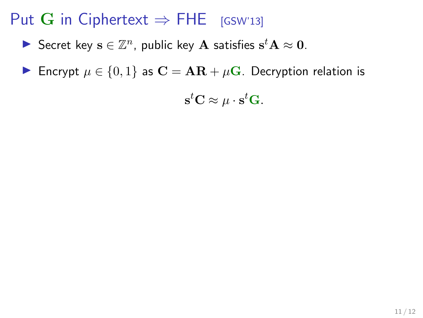- Secret key  $\mathbf{s} \in \mathbb{Z}^n$ , public key  $\mathbf{A}$  satisfies  $\mathbf{s}^t \mathbf{A} \approx \mathbf{0}$ .
- Encrypt  $\mu \in \{0, 1\}$  as  $\mathbf{C} = \mathbf{AR} + \mu \mathbf{G}$ . Decryption relation is

 $\mathbf{s}^t\mathbf{C} \approx \mu \cdot \mathbf{s}^t\mathbf{G}.$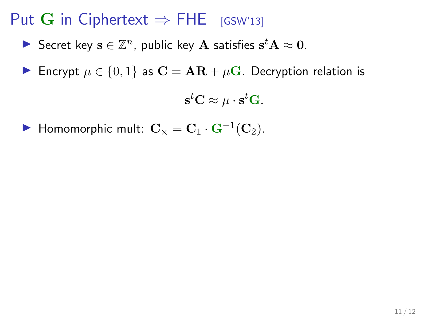- Secret key  $\mathbf{s} \in \mathbb{Z}^n$ , public key  $\mathbf{A}$  satisfies  $\mathbf{s}^t \mathbf{A} \approx \mathbf{0}$ .
- Encrypt  $\mu \in \{0, 1\}$  as  $\mathbf{C} = \mathbf{AR} + \mu \mathbf{G}$ . Decryption relation is

 $\mathbf{s}^t\mathbf{C} \approx \mu \cdot \mathbf{s}^t\mathbf{G}.$ 

▶ Homomorphic mult:  $\mathbf{C}_{\times} = \mathbf{C}_1 \cdot \mathbf{G}^{-1}(\mathbf{C}_2)$ .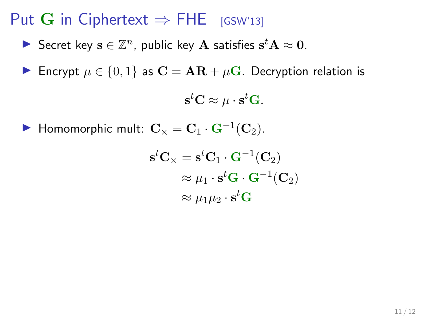- Secret key  $\mathbf{s} \in \mathbb{Z}^n$ , public key  $\mathbf{A}$  satisfies  $\mathbf{s}^t \mathbf{A} \approx \mathbf{0}$ .
- Encrypt  $\mu \in \{0, 1\}$  as  $\mathbf{C} = \mathbf{AR} + \mu \mathbf{G}$ . Decryption relation is

 $\mathbf{s}^t\mathbf{C} \approx \mu \cdot \mathbf{s}^t\mathbf{G}.$ 

▶ Homomorphic mult:  $\mathbf{C}_{\times} = \mathbf{C}_1 \cdot \mathbf{G}^{-1}(\mathbf{C}_2)$ .

$$
\begin{aligned} \mathbf{s}^t \mathbf{C}_{\times} &= \mathbf{s}^t \mathbf{C}_1 \cdot \mathbf{G}^{-1}(\mathbf{C}_2) \\ &\approx \mu_1 \cdot \mathbf{s}^t \mathbf{G} \cdot \mathbf{G}^{-1}(\mathbf{C}_2) \\ &\approx \mu_1 \mu_2 \cdot \mathbf{s}^t \mathbf{G} \end{aligned}
$$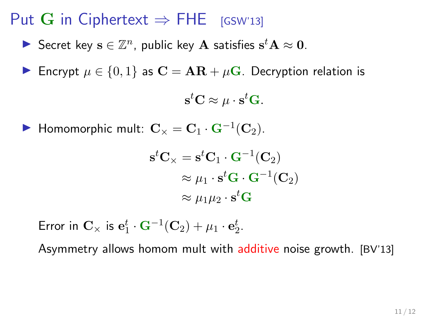- Secret key  $\mathbf{s} \in \mathbb{Z}^n$ , public key  $\mathbf{A}$  satisfies  $\mathbf{s}^t \mathbf{A} \approx \mathbf{0}$ .
- Encrypt  $\mu \in \{0, 1\}$  as  $\mathbf{C} = \mathbf{AR} + \mu \mathbf{G}$ . Decryption relation is

 $\mathbf{s}^t\mathbf{C} \approx \mu \cdot \mathbf{s}^t\mathbf{G}.$ 

▶ Homomorphic mult:  $\mathbf{C}_{\times} = \mathbf{C}_1 \cdot \mathbf{G}^{-1}(\mathbf{C}_2)$ .

$$
\mathbf{s}^t \mathbf{C}_{\times} = \mathbf{s}^t \mathbf{C}_1 \cdot \mathbf{G}^{-1}(\mathbf{C}_2)
$$

$$
\approx \mu_1 \cdot \mathbf{s}^t \mathbf{G} \cdot \mathbf{G}^{-1}(\mathbf{C}_2)
$$

$$
\approx \mu_1 \mu_2 \cdot \mathbf{s}^t \mathbf{G}
$$

Error in  $\mathbf{C}_{\times}$  is  $\mathbf{e}_{1}^{t} \cdot \mathbf{G}^{-1}(\mathbf{C}_{2}) + \mu_{1} \cdot \mathbf{e}_{2}^{t}$ .

Asymmetry allows homom mult with additive noise growth. [BV'13]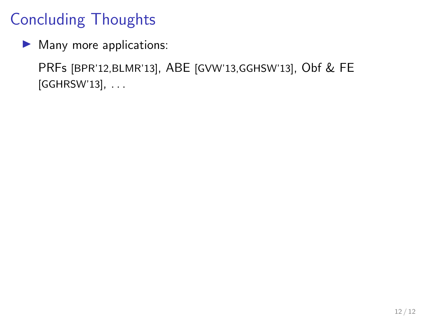# Concluding Thoughts

 $\blacktriangleright$  Many more applications:

PRFs [BPR'12,BLMR'13], ABE [GVW'13,GGHSW'13], Obf & FE [GGHRSW'13], . . .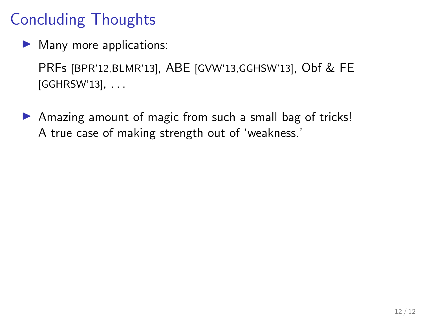# Concluding Thoughts

 $\blacktriangleright$  Many more applications:

PRFs [BPR'12,BLMR'13], ABE [GVW'13,GGHSW'13], Obf & FE [GGHRSW'13], . . .

▶ Amazing amount of magic from such a small bag of tricks! A true case of making strength out of 'weakness.'